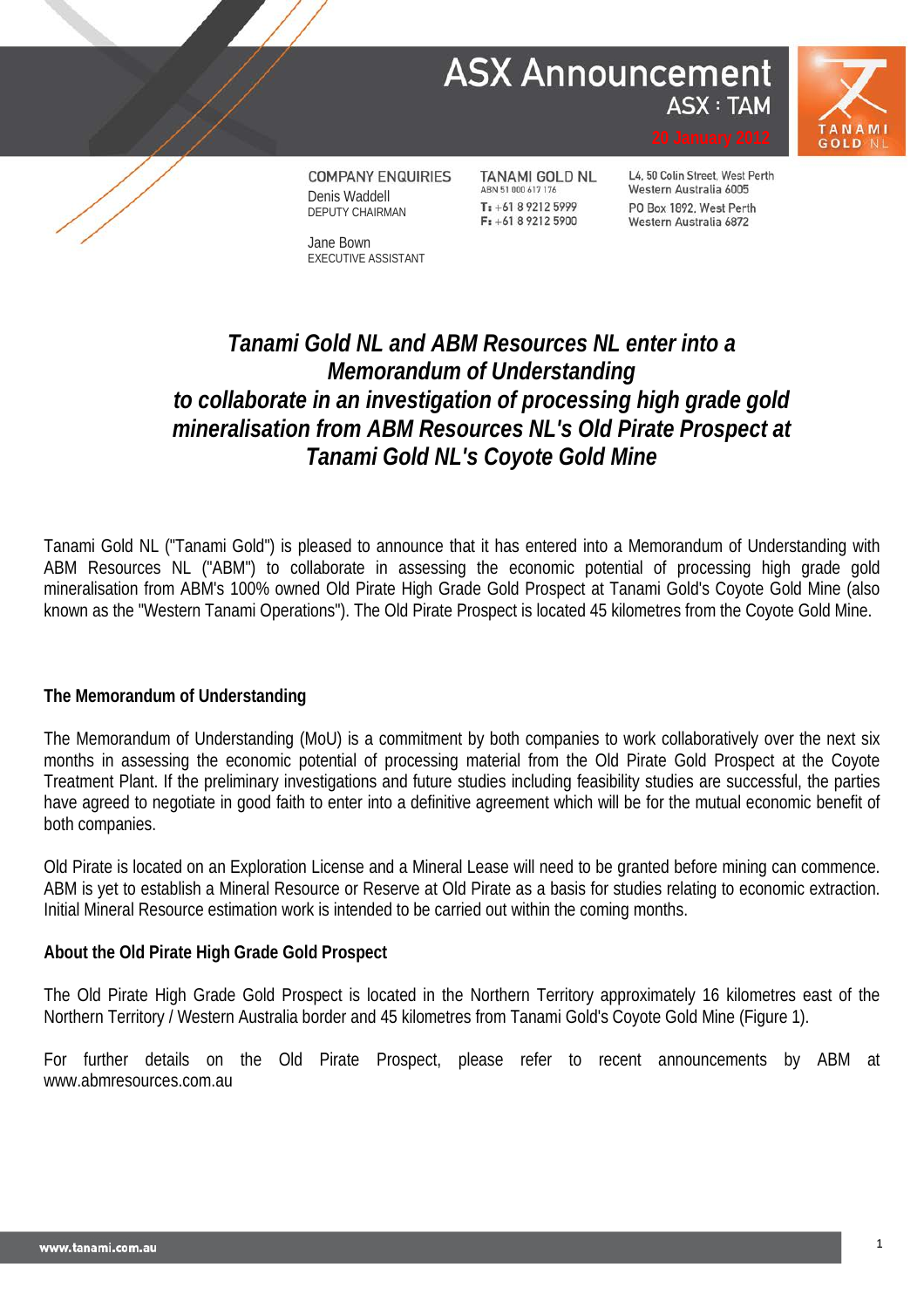## **ASX Announcement ASX: TAM**



**COMPANY ENQUIRIES** Denis Waddell DEPUTY CHAIRMAN

Jane Bown EXECUTIVE ASSISTANT **TANAMI GOLD NL** ABN 51 000 617 176 T: +61 8 9212 5999  $F: +61892125900$ 

L4, 50 Colin Street, West Perth Western Australia 6005 PO Box 1892, West Perth Western Australia 6872

### *Tanami Gold NL and ABM Resources NL enter into a Memorandum of Understanding to collaborate in an investigation of processing high grade gold mineralisation from ABM Resources NL's Old Pirate Prospect at Tanami Gold NL's Coyote Gold Mine*

Tanami Gold NL ("Tanami Gold") is pleased to announce that it has entered into a Memorandum of Understanding with ABM Resources NL ("ABM") to collaborate in assessing the economic potential of processing high grade gold mineralisation from ABM's 100% owned Old Pirate High Grade Gold Prospect at Tanami Gold's Coyote Gold Mine (also known as the "Western Tanami Operations"). The Old Pirate Prospect is located 45 kilometres from the Coyote Gold Mine.

#### **The Memorandum of Understanding**

The Memorandum of Understanding (MoU) is a commitment by both companies to work collaboratively over the next six months in assessing the economic potential of processing material from the Old Pirate Gold Prospect at the Coyote Treatment Plant. If the preliminary investigations and future studies including feasibility studies are successful, the parties have agreed to negotiate in good faith to enter into a definitive agreement which will be for the mutual economic benefit of both companies.

Old Pirate is located on an Exploration License and a Mineral Lease will need to be granted before mining can commence. ABM is yet to establish a Mineral Resource or Reserve at Old Pirate as a basis for studies relating to economic extraction. Initial Mineral Resource estimation work is intended to be carried out within the coming months.

#### **About the Old Pirate High Grade Gold Prospect**

The Old Pirate High Grade Gold Prospect is located in the Northern Territory approximately 16 kilometres east of the Northern Territory / Western Australia border and 45 kilometres from Tanami Gold's Coyote Gold Mine (Figure 1).

For further details on the Old Pirate Prospect, please refer to recent announcements by ABM at www.abmresources.com.au